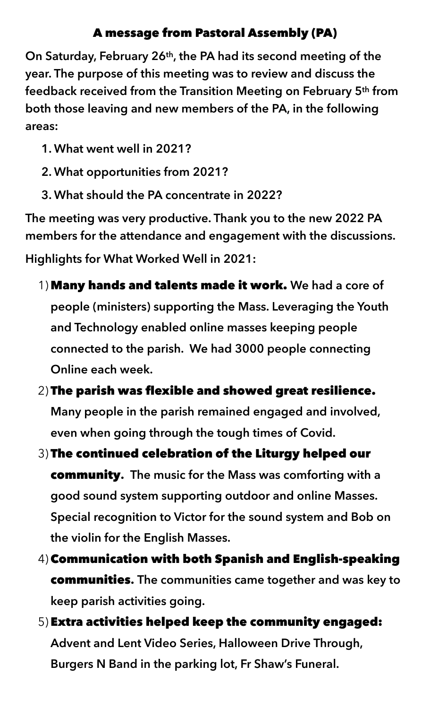## A message from Pastoral Assembly (PA)

**On Saturday, February 26th, the PA had its second meeting of the year. The purpose of this meeting was to review and discuss the feedback received from the Transition Meeting on February 5th from both those leaving and new members of the PA, in the following areas:** 

- **1. What went well in 2021?**
- **2. What opportunities from 2021?**
- **3. What should the PA concentrate in 2022?**

**The meeting was very productive. Thank you to the new 2022 PA members for the attendance and engagement with the discussions.** 

**Highlights for What Worked Well in 2021:** 

- 1) Many hands and talents made it work. **We had a core of people (ministers) supporting the Mass. Leveraging the Youth and Technology enabled online masses keeping people connected to the parish. We had 3000 people connecting Online each week.**
- 2) The parish was flexible and showed great resilience. **Many people in the parish remained engaged and involved, even when going through the tough times of Covid.**
- 3) The continued celebration of the Liturgy helped our community**. The music for the Mass was comforting with a good sound system supporting outdoor and online Masses. Special recognition to Victor for the sound system and Bob on the violin for the English Masses.**
- 4) Communication with both Spanish and English-speaking communities**. The communities came together and was key to keep parish activities going.**
- 5) Extra activities helped keep the community engaged: **Advent and Lent Video Series, Halloween Drive Through, Burgers N Band in the parking lot, Fr Shaw's Funeral.**